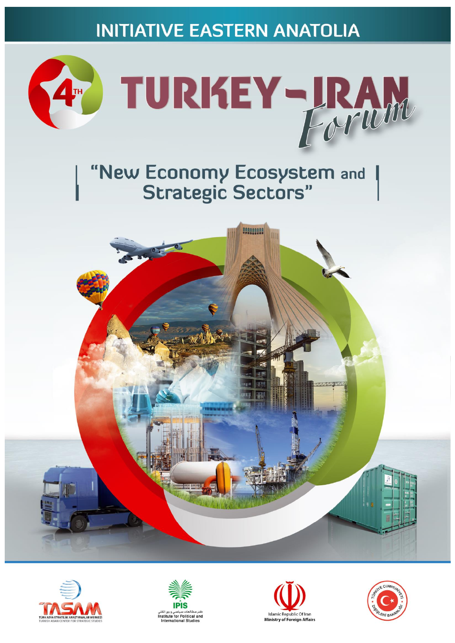**INITIATIVE EASTERN ANATOLIA** 



# "New Economy Ecosystem and<br>Strategic Sectors"









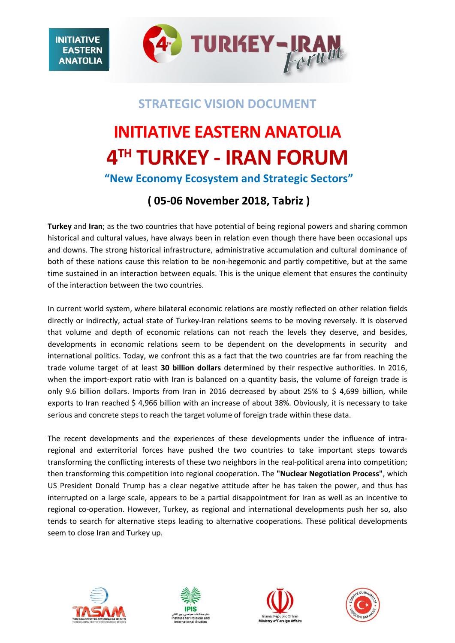

### **STRATEGIC VISION DOCUMENT**

# **INITIATIVE EASTERN ANATOLIA 4 TH TURKEY - IRAN FORUM**

**"New Economy Ecosystem and Strategic Sectors"**

### **( 05-06 November 2018, Tabriz )**

**Turkey** and **Iran**; as the two countries that have potential of being regional powers and sharing common historical and cultural values, have always been in relation even though there have been occasional ups and downs. The strong historical infrastructure, administrative accumulation and cultural dominance of both of these nations cause this relation to be non-hegemonic and partly competitive, but at the same time sustained in an interaction between equals. This is the unique element that ensures the continuity of the interaction between the two countries.

In current world system, where bilateral economic relations are mostly reflected on other relation fields directly or indirectly, actual state of Turkey-Iran relations seems to be moving reversely. It is observed that volume and depth of economic relations can not reach the levels they deserve, and besides, developments in economic relations seem to be dependent on the developments in security and international politics. Today, we confront this as a fact that the two countries are far from reaching the trade volume target of at least **30 billion dollars** determined by their respective authorities. In 2016, when the import-export ratio with Iran is balanced on a quantity basis, the volume of foreign trade is only 9.6 billion dollars. Imports from Iran in 2016 decreased by about 25% to \$ 4,699 billion, while exports to Iran reached \$ 4,966 billion with an increase of about 38%. Obviously, it is necessary to take serious and concrete steps to reach the target volume of foreign trade within these data.

The recent developments and the experiences of these developments under the influence of intraregional and exterritorial forces have pushed the two countries to take important steps towards transforming the conflicting interests of these two neighbors in the real-political arena into competition; then transforming this competition into regional cooperation. The **"Nuclear Negotiation Process"**, which US President Donald Trump has a clear negative attitude after he has taken the power, and thus has interrupted on a large scale, appears to be a partial disappointment for Iran as well as an incentive to regional co-operation. However, Turkey, as regional and international developments push her so, also tends to search for alternative steps leading to alternative cooperations. These political developments seem to close Iran and Turkey up.



**INITIATIVF EASTERN ANATOLIA** 





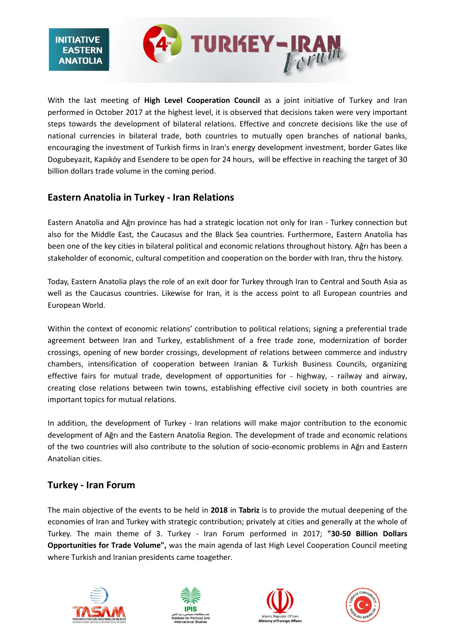

With the last meeting of **High Level Cooperation Council** as a joint initiative of Turkey and Iran performed in October 2017 at the highest level, it is observed that decisions taken were very important steps towards the development of bilateral relations. Effective and concrete decisions like the use of national currencies in bilateral trade, both countries to mutually open branches of national banks, encouraging the investment of Turkish firms in Iran's energy development investment, border Gates like Dogubeyazit, Kapıköy and Esendere to be open for 24 hours, will be effective in reaching the target of 30 billion dollars trade volume in the coming period.

### **Eastern Anatolia in Turkey - Iran Relations**

Eastern Anatolia and Ağrı province has had a strategic location not only for Iran - Turkey connection but also for the Middle East, the Caucasus and the Black Sea countries. Furthermore, Eastern Anatolia has been one of the key cities in bilateral political and economic relations throughout history. Ağrı has been a stakeholder of economic, cultural competition and cooperation on the border with Iran, thru the history.

Today, Eastern Anatolia plays the role of an exit door for Turkey through Iran to Central and South Asia as well as the Caucasus countries. Likewise for Iran, it is the access point to all European countries and European World.

Within the context of economic relations' contribution to political relations; signing a preferential trade agreement between Iran and Turkey, establishment of a free trade zone, modernization of border crossings, opening of new border crossings, development of relations between commerce and industry chambers, intensification of cooperation between Iranian & Turkish Business Councils, organizing effective fairs for mutual trade, development of opportunities for - highway, - railway and airway, creating close relations between twin towns, establishing effective civil society in both countries are important topics for mutual relations.

In addition, the development of Turkey - Iran relations will make major contribution to the economic development of Ağrı and the Eastern Anatolia Region. The development of trade and economic relations of the two countries will also contribute to the solution of socio-economic problems in Ağrı and Eastern Anatolian cities.

### **Turkey - Iran Forum**

The main objective of the events to be held in **2018** in **Tabriz** is to provide the mutual deepening of the economies of Iran and Turkey with strategic contribution; privately at cities and generally at the whole of Turkey. The main theme of 3. Turkey - Iran Forum performed in 2017; **"30-50 Billion Dollars Opportunities for Trade Volume",** was the main agenda of last High Level Cooperation Council meeting where Turkish and Iranian presidents came toagether.







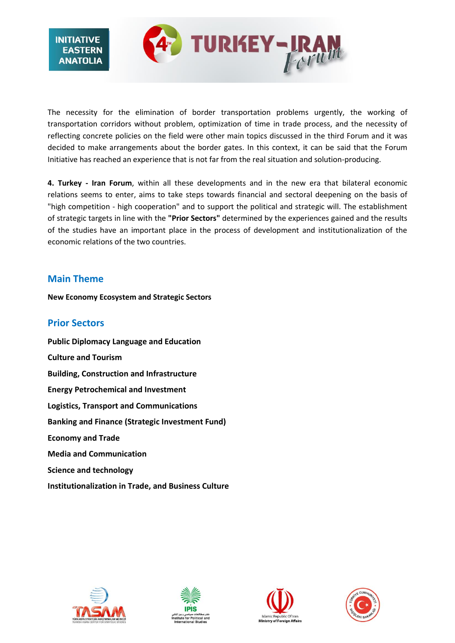

The necessity for the elimination of border transportation problems urgently, the working of transportation corridors without problem, optimization of time in trade process, and the necessity of reflecting concrete policies on the field were other main topics discussed in the third Forum and it was decided to make arrangements about the border gates. In this context, it can be said that the Forum Initiative has reached an experience that is not far from the real situation and solution-producing.

**4. Turkey - Iran Forum**, within all these developments and in the new era that bilateral economic relations seems to enter, aims to take steps towards financial and sectoral deepening on the basis of "high competition - high cooperation" and to support the political and strategic will. The establishment of strategic targets in line with the **"Prior Sectors"** determined by the experiences gained and the results of the studies have an important place in the process of development and institutionalization of the economic relations of the two countries.

### **Main Theme**

**New Economy Ecosystem and Strategic Sectors**

### **Prior Sectors**

**Public Diplomacy Language and Education Culture and Tourism Building, Construction and Infrastructure Energy Petrochemical and Investment Logistics, Transport and Communications Banking and Finance (Strategic Investment Fund) Economy and Trade Media and Communication Science and technology Institutionalization in Trade, and Business Culture**